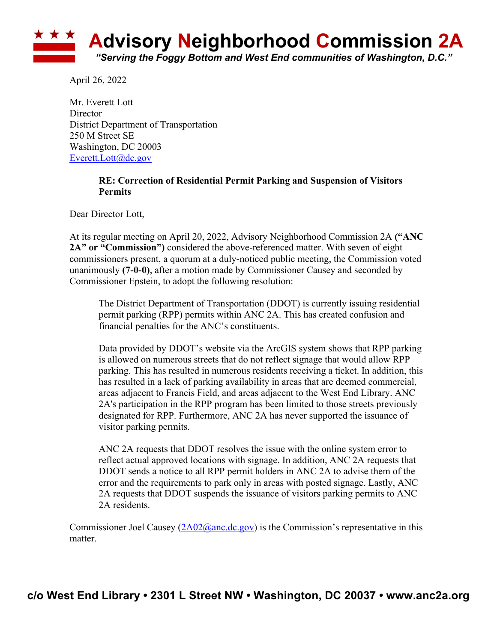## **Advisory Neighborhood Commission 2A** *"Serving the Foggy Bottom and West End communities of Washington, D.C."*

April 26, 2022

Mr. Everett Lott Director District Department of Transportation 250 M Street SE Washington, DC 20003 Everett.Lott@dc.gov

## **RE: Correction of Residential Permit Parking and Suspension of Visitors Permits**

Dear Director Lott,

At its regular meeting on April 20, 2022, Advisory Neighborhood Commission 2A **("ANC 2A" or "Commission")** considered the above-referenced matter. With seven of eight commissioners present, a quorum at a duly-noticed public meeting, the Commission voted unanimously **(7-0-0)**, after a motion made by Commissioner Causey and seconded by Commissioner Epstein, to adopt the following resolution:

The District Department of Transportation (DDOT) is currently issuing residential permit parking (RPP) permits within ANC 2A. This has created confusion and financial penalties for the ANC's constituents.

Data provided by DDOT's website via the ArcGIS system shows that RPP parking is allowed on numerous streets that do not reflect signage that would allow RPP parking. This has resulted in numerous residents receiving a ticket. In addition, this has resulted in a lack of parking availability in areas that are deemed commercial, areas adjacent to Francis Field, and areas adjacent to the West End Library. ANC 2A's participation in the RPP program has been limited to those streets previously designated for RPP. Furthermore, ANC 2A has never supported the issuance of visitor parking permits.

ANC 2A requests that DDOT resolves the issue with the online system error to reflect actual approved locations with signage. In addition, ANC 2A requests that DDOT sends a notice to all RPP permit holders in ANC 2A to advise them of the error and the requirements to park only in areas with posted signage. Lastly, ANC 2A requests that DDOT suspends the issuance of visitors parking permits to ANC 2A residents.

Commissioner Joel Causey  $(2A02@anc.de.gov)$  is the Commission's representative in this matter.